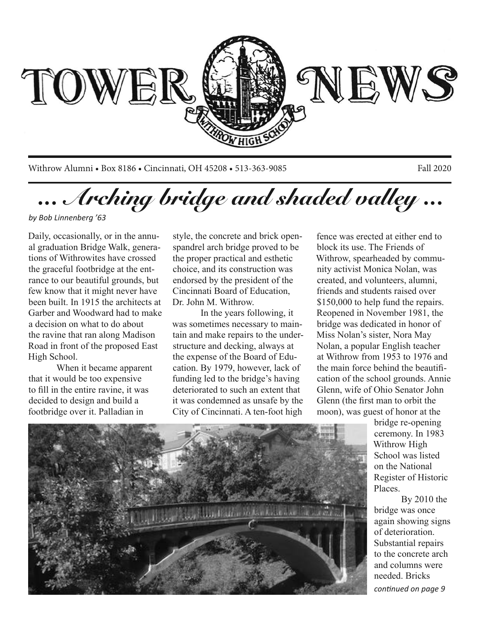

Withrow Alumni • Box 8186 • Cincinnati, OH 45208 • 513-363-9085 Fall 2020

*... Arching bridge and shaded valley ...*

*by Bob Linnenberg '63*

Daily, occasionally, or in the annual graduation Bridge Walk, generations of Withrowites have crossed the graceful footbridge at the entrance to our beautiful grounds, but few know that it might never have been built. In 1915 the architects at Garber and Woodward had to make a decision on what to do about the ravine that ran along Madison Road in front of the proposed East High School.

When it became apparent that it would be too expensive to fill in the entire ravine, it was decided to design and build a footbridge over it. Palladian in

style, the concrete and brick openspandrel arch bridge proved to be the proper practical and esthetic choice, and its construction was endorsed by the president of the Cincinnati Board of Education, Dr. John M. Withrow.

In the years following, it was sometimes necessary to maintain and make repairs to the understructure and decking, always at the expense of the Board of Education. By 1979, however, lack of funding led to the bridge's having deteriorated to such an extent that it was condemned as unsafe by the City of Cincinnati. A ten-foot high

fence was erected at either end to block its use. The Friends of Withrow, spearheaded by community activist Monica Nolan, was created, and volunteers, alumni, friends and students raised over \$150,000 to help fund the repairs. Reopened in November 1981, the bridge was dedicated in honor of Miss Nolan's sister, Nora May Nolan, a popular English teacher at Withrow from 1953 to 1976 and the main force behind the beautification of the school grounds. Annie Glenn, wife of Ohio Senator John Glenn (the first man to orbit the moon), was guest of honor at the

> bridge re-opening ceremony. In 1983 Withrow High School was listed on the National Register of Historic Places.

By 2010 the bridge was once again showing signs of deterioration. Substantial repairs to the concrete arch and columns were needed. Bricks *continued on page 9*

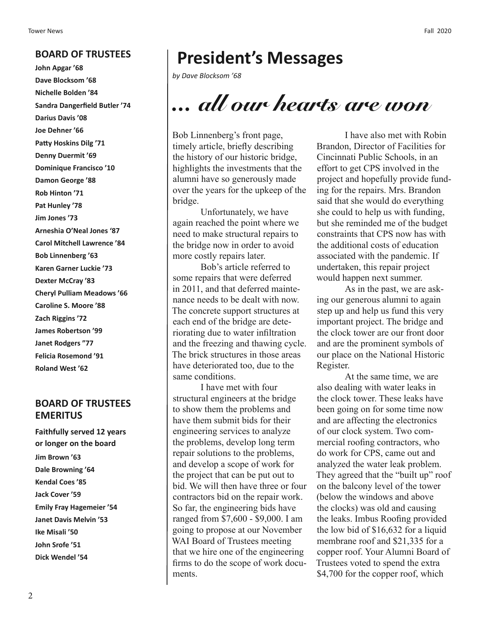#### **BOARD OF TRUSTEES**

**John Apgar '68 Dave Blocksom '68 Nichelle Bolden '84 Sandra Dangerfield Butler '74 Darius Davis '08 Joe Dehner '66 Patty Hoskins Dilg '71 Denny Duermit '69 Dominique Francisco '10 Damon George '88 Rob Hinton '71 Pat Hunley '78 Jim Jones '73 Arneshia O'Neal Jones '87 Carol Mitchell Lawrence '84 Bob Linnenberg '63 Karen Garner Luckie '73 Dexter McCray '83 Cheryl Pulliam Meadows '66 Caroline S. Moore '88 Zach Riggins '72 James Robertson '99 Janet Rodgers "77 Felicia Rosemond '91 Roland West '62**

### **BOARD OF TRUSTEES EMERITUS**

**Faithfully served 12 years or longer on the board Jim Brown '63 Dale Browning '64 Kendal Coes '85 Jack Cover '59 Emily Fray Hagemeier '54 Janet Davis Melvin '53 Ike Misali '50 John Srofe '51 Dick Wendel '54**

### **President's Messages**

*by Dave Blocksom '68*

# *... all our hearts are won*

Bob Linnenberg's front page, timely article, briefly describing the history of our historic bridge, highlights the investments that the alumni have so generously made over the years for the upkeep of the bridge.

Unfortunately, we have again reached the point where we need to make structural repairs to the bridge now in order to avoid more costly repairs later.

Bob's article referred to some repairs that were deferred in 2011, and that deferred maintenance needs to be dealt with now. The concrete support structures at each end of the bridge are deteriorating due to water infiltration and the freezing and thawing cycle. The brick structures in those areas have deteriorated too, due to the same conditions.

I have met with four structural engineers at the bridge to show them the problems and have them submit bids for their engineering services to analyze the problems, develop long term repair solutions to the problems, and develop a scope of work for the project that can be put out to bid. We will then have three or four contractors bid on the repair work. So far, the engineering bids have ranged from \$7,600 - \$9,000. I am going to propose at our November WAI Board of Trustees meeting that we hire one of the engineering firms to do the scope of work documents.

I have also met with Robin Brandon, Director of Facilities for Cincinnati Public Schools, in an effort to get CPS involved in the project and hopefully provide funding for the repairs. Mrs. Brandon said that she would do everything she could to help us with funding, but she reminded me of the budget constraints that CPS now has with the additional costs of education associated with the pandemic. If undertaken, this repair project would happen next summer.

As in the past, we are asking our generous alumni to again step up and help us fund this very important project. The bridge and the clock tower are our front door and are the prominent symbols of our place on the National Historic Register.

At the same time, we are also dealing with water leaks in the clock tower. These leaks have been going on for some time now and are affecting the electronics of our clock system. Two commercial roofing contractors, who do work for CPS, came out and analyzed the water leak problem. They agreed that the "built up" roof on the balcony level of the tower (below the windows and above the clocks) was old and causing the leaks. Imbus Roofing provided the low bid of \$16,632 for a liquid membrane roof and \$21,335 for a copper roof. Your Alumni Board of Trustees voted to spend the extra \$4,700 for the copper roof, which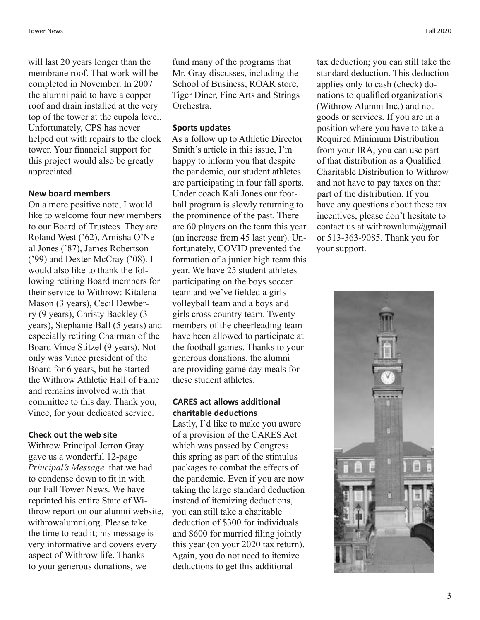will last 20 years longer than the membrane roof. That work will be completed in November. In 2007 the alumni paid to have a copper roof and drain installed at the very top of the tower at the cupola level. Unfortunately, CPS has never helped out with repairs to the clock tower. Your financial support for this project would also be greatly appreciated.

#### **New board members**

On a more positive note, I would like to welcome four new members to our Board of Trustees. They are Roland West ('62), Arnisha O'Neal Jones ('87), James Robertson ('99) and Dexter McCray ('08). I would also like to thank the following retiring Board members for their service to Withrow: Kitalena Mason (3 years), Cecil Dewberry (9 years), Christy Backley (3 years), Stephanie Ball (5 years) and especially retiring Chairman of the Board Vince Stitzel (9 years). Not only was Vince president of the Board for 6 years, but he started the Withrow Athletic Hall of Fame and remains involved with that committee to this day. Thank you, Vince, for your dedicated service.

#### **Check out the web site**

Withrow Principal Jerron Gray gave us a wonderful 12-page *Principal's Message* that we had to condense down to fit in with our Fall Tower News. We have reprinted his entire State of Withrow report on our alumni website, withrowalumni.org. Please take the time to read it; his message is very informative and covers every aspect of Withrow life. Thanks to your generous donations, we

fund many of the programs that Mr. Gray discusses, including the School of Business, ROAR store, Tiger Diner, Fine Arts and Strings Orchestra.

#### **Sports updates**

As a follow up to Athletic Director Smith's article in this issue, I'm happy to inform you that despite the pandemic, our student athletes are participating in four fall sports. Under coach Kali Jones our football program is slowly returning to the prominence of the past. There are 60 players on the team this year (an increase from 45 last year). Unfortunately, COVID prevented the formation of a junior high team this year. We have 25 student athletes participating on the boys soccer team and we've fielded a girls volleyball team and a boys and girls cross country team. Twenty members of the cheerleading team have been allowed to participate at the football games. Thanks to your generous donations, the alumni are providing game day meals for these student athletes.

#### **CARES act allows additional charitable deductions**

Lastly, I'd like to make you aware of a provision of the CARES Act which was passed by Congress this spring as part of the stimulus packages to combat the effects of the pandemic. Even if you are now taking the large standard deduction instead of itemizing deductions, you can still take a charitable deduction of \$300 for individuals and \$600 for married filing jointly this year (on your 2020 tax return). Again, you do not need to itemize deductions to get this additional

tax deduction; you can still take the standard deduction. This deduction applies only to cash (check) donations to qualified organizations (Withrow Alumni Inc.) and not goods or services. If you are in a position where you have to take a Required Minimum Distribution from your IRA, you can use part of that distribution as a Qualified Charitable Distribution to Withrow and not have to pay taxes on that part of the distribution. If you have any questions about these tax incentives, please don't hesitate to contact us at withrowalum $@g$ gmail or 513-363-9085. Thank you for your support.

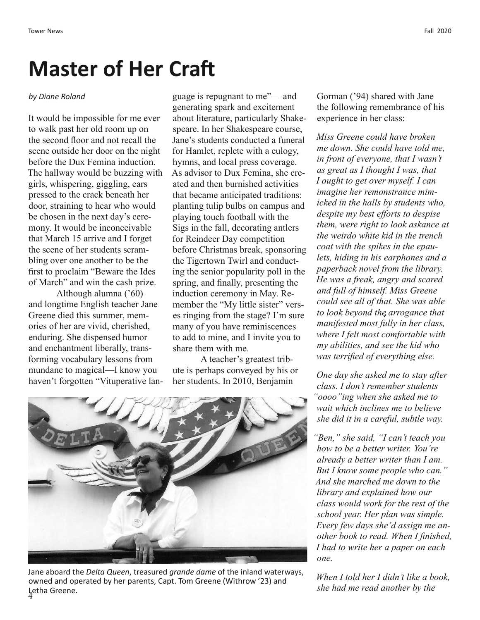## **Master of Her Craft**

#### *by Diane Roland*

It would be impossible for me ever to walk past her old room up on the second floor and not recall the scene outside her door on the night before the Dux Femina induction. The hallway would be buzzing with girls, whispering, giggling, ears pressed to the crack beneath her door, straining to hear who would be chosen in the next day's ceremony. It would be inconceivable that March 15 arrive and I forget the scene of her students scrambling over one another to be the first to proclaim "Beware the Ides of March" and win the cash prize.

Although alumna ('60) and longtime English teacher Jane Greene died this summer, memories of her are vivid, cherished, enduring. She dispensed humor and enchantment liberally, transforming vocabulary lessons from mundane to magical—I know you haven't forgotten "Vituperative lan-

guage is repugnant to me"— and generating spark and excitement about literature, particularly Shakespeare. In her Shakespeare course, Jane's students conducted a funeral for Hamlet, replete with a eulogy, hymns, and local press coverage. As advisor to Dux Femina, she created and then burnished activities that became anticipated traditions: planting tulip bulbs on campus and playing touch football with the Sigs in the fall, decorating antlers for Reindeer Day competition before Christmas break, sponsoring the Tigertown Twirl and conducting the senior popularity poll in the spring, and finally, presenting the induction ceremony in May. Remember the "My little sister" verses ringing from the stage? I'm sure many of you have reminiscences to add to mine, and I invite you to share them with me.

A teacher's greatest tribute is perhaps conveyed by his or her students. In 2010, Benjamin



4 Letha Greene.Jane aboard the *Delta Queen*, treasured *grande dame* of the inland waterways, owned and operated by her parents, Capt. Tom Greene (Withrow '23) and

Gorman ('94) shared with Jane the following remembrance of his experience in her class:

*Miss Greene could have broken me down. She could have told me, in front of everyone, that I wasn't as great as I thought I was, that I ought to get over myself. I can imagine her remonstrance mimicked in the halls by students who, despite my best efforts to despise them, were right to look askance at the weirdo white kid in the trench coat with the spikes in the epaulets, hiding in his earphones and a paperback novel from the library. He was a freak, angry and scared and full of himself. Miss Greene could see all of that. She was able to look beyond the arrogance that manifested most fully in her class, where I felt most comfortable with my abilities, and see the kid who was terrified of everything else.*

*One day she asked me to stay after class. I don't remember students "oooo"ing when she asked me to wait which inclines me to believe she did it in a careful, subtle way.*

*"Ben," she said, "I can't teach you how to be a better writer. You're already a better writer than I am. But I know some people who can." And she marched me down to the library and explained how our class would work for the rest of the school year. Her plan was simple. Every few days she'd assign me another book to read. When I finished, I had to write her a paper on each one.*

*When I told her I didn't like a book, she had me read another by the*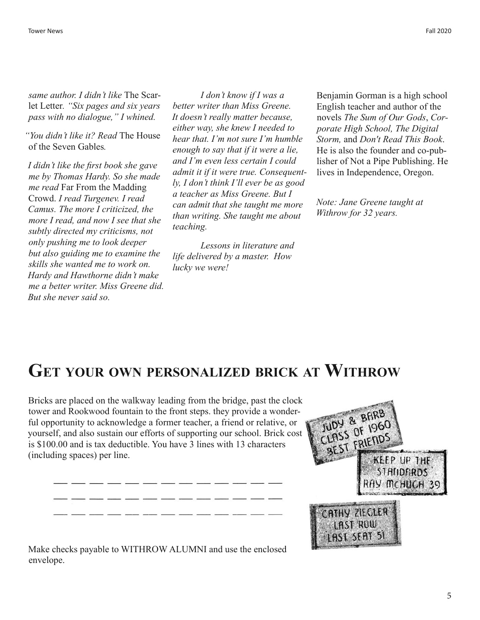*same author. I didn't like* The Scarlet Letter*. "Six pages and six years pass with no dialogue," I whined.*

*"You didn't like it? Read* The House of the Seven Gables*.*

*I didn't like the first book she gave me by Thomas Hardy. So she made me read* Far From the Madding Crowd. *I read Turgenev. I read Camus. The more I criticized, the more I read, and now I see that she subtly directed my criticisms, not only pushing me to look deeper but also guiding me to examine the skills she wanted me to work on. Hardy and Hawthorne didn't make me a better writer. Miss Greene did. But she never said so.*

 *I don't know if I was a better writer than Miss Greene. It doesn't really matter because, either way, she knew I needed to hear that. I'm not sure I'm humble enough to say that if it were a lie, and I'm even less certain I could admit it if it were true. Consequently, I don't think I'll ever be as good a teacher as Miss Greene. But I can admit that she taught me more than writing. She taught me about teaching.* 

*Lessons in literature and life delivered by a master. How lucky we were!*

Benjamin Gorman is a high school English teacher and author of the novels *The Sum of Our Gods*, *Corporate High School, The Digital Storm,* and *Don't Read This Book*. He is also the founder and co-publisher of Not a Pipe Publishing. He lives in Independence, Oregon.

*Note: Jane Greene taught at Withrow for 32 years.* 

### **Get your own personalized brick at Withrow**

Bricks are placed on the walkway leading from the bridge, past the clock tower and Rookwood fountain to the front steps. they provide a wonderful opportunity to acknowledge a former teacher, a friend or relative, or yourself, and also sustain our efforts of supporting our school. Brick cost is \$100.00 and is tax deductible. You have 3 lines with 13 characters (including spaces) per line.

or an interesting

 $\sim$ 



Make checks payable to WITHROW ALUMNI and use the enclosed envelope.

 $-$ 

**Service** 

22 32 32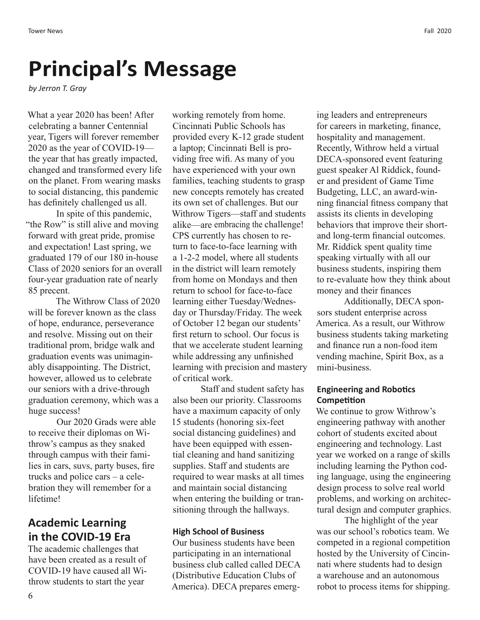# **Principal's Message**

*by Jerron T. Gray*

What a year 2020 has been! After celebrating a banner Centennial year, Tigers will forever remember 2020 as the year of COVID-19 the year that has greatly impacted, changed and transformed every life on the planet. From wearing masks to social distancing, this pandemic has definitely challenged us all.

In spite of this pandemic, "the Row" is still alive and moving forward with great pride, promise and expectation! Last spring, we graduated 179 of our 180 in-house Class of 2020 seniors for an overall four-year graduation rate of nearly 85 precent.

The Withrow Class of 2020 will be forever known as the class of hope, endurance, perseverance and resolve. Missing out on their traditional prom, bridge walk and graduation events was unimaginably disappointing. The District, however, allowed us to celebrate our seniors with a drive-through graduation ceremony, which was a huge success!

Our 2020 Grads were able to receive their diplomas on Withrow's campus as they snaked through campus with their families in cars, suvs, party buses, fire trucks and police cars – a celebration they will remember for a lifetime!

### **Academic Learning in the COVID-19 Era**

The academic challenges that have been created as a result of COVID-19 have caused all Withrow students to start the year

working remotely from home. Cincinnati Public Schools has provided every K-12 grade student a laptop; Cincinnati Bell is providing free wifi. As many of you have experienced with your own families, teaching students to grasp new concepts remotely has created its own set of challenges. But our Withrow Tigers—staff and students alike—are embracing the challenge! CPS currently has chosen to return to face-to-face learning with a 1-2-2 model, where all students in the district will learn remotely from home on Mondays and then return to school for face-to-face learning either Tuesday/Wednesday or Thursday/Friday. The week of October 12 began our students' first return to school. Our focus is that we accelerate student learning while addressing any unfinished learning with precision and mastery of critical work.

Staff and student safety has also been our priority. Classrooms have a maximum capacity of only 15 students (honoring six-feet social distancing guidelines) and have been equipped with essential cleaning and hand sanitizing supplies. Staff and students are required to wear masks at all times and maintain social distancing when entering the building or transitioning through the hallways.

#### **High School of Business**

Our business students have been participating in an international business club called called DECA (Distributive Education Clubs of America). DECA prepares emerging leaders and entrepreneurs for careers in marketing, finance, hospitality and management. Recently, Withrow held a virtual DECA-sponsored event featuring guest speaker Al Riddick, founder and president of Game Time Budgeting, LLC, an award-winning financial fitness company that assists its clients in developing behaviors that improve their shortand long-term financial outcomes. Mr. Riddick spent quality time speaking virtually with all our business students, inspiring them to re-evaluate how they think about money and their finances

Additionally, DECA sponsors student enterprise across America. As a result, our Withrow business students taking marketing and finance run a non-food item vending machine, Spirit Box, as a mini-business.

#### **Engineering and Robotics Competition**

We continue to grow Withrow's engineering pathway with another cohort of students excited about engineering and technology. Last year we worked on a range of skills including learning the Python coding language, using the engineering design process to solve real world problems, and working on architectural design and computer graphics.

The highlight of the year was our school's robotics team. We competed in a regional competition hosted by the University of Cincinnati where students had to design a warehouse and an autonomous robot to process items for shipping.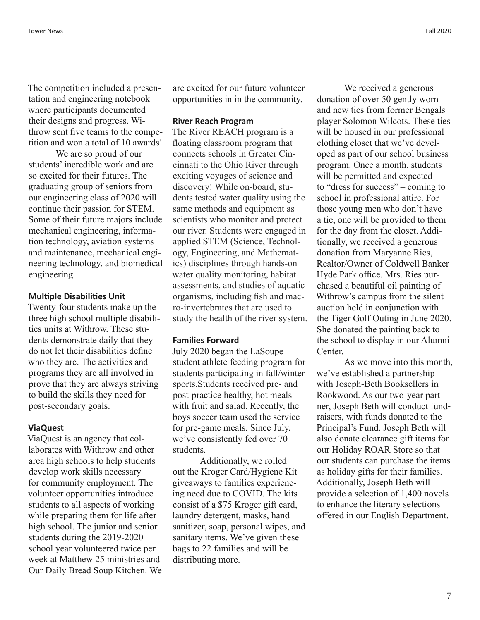The competition included a presentation and engineering notebook where participants documented their designs and progress. Withrow sent five teams to the competition and won a total of 10 awards!

We are so proud of our students' incredible work and are so excited for their futures. The graduating group of seniors from our engineering class of 2020 will continue their passion for STEM. Some of their future majors include mechanical engineering, information technology, aviation systems and maintenance, mechanical engineering technology, and biomedical engineering.

#### **Multiple Disabilities Unit**

Twenty-four students make up the three high school multiple disabilities units at Withrow. These students demonstrate daily that they do not let their disabilities define who they are. The activities and programs they are all involved in prove that they are always striving to build the skills they need for post-secondary goals.

#### **ViaQuest**

ViaQuest is an agency that collaborates with Withrow and other area high schools to help students develop work skills necessary for community employment. The volunteer opportunities introduce students to all aspects of working while preparing them for life after high school. The junior and senior students during the 2019-2020 school year volunteered twice per week at Matthew 25 ministries and Our Daily Bread Soup Kitchen. We are excited for our future volunteer opportunities in in the community.

#### **River Reach Program**

The River REACH program is a floating classroom program that connects schools in Greater Cincinnati to the Ohio River through exciting voyages of science and discovery! While on-board, students tested water quality using the same methods and equipment as scientists who monitor and protect our river. Students were engaged in applied STEM (Science, Technology, Engineering, and Mathematics) disciplines through hands-on water quality monitoring, habitat assessments, and studies of aquatic organisms, including fish and macro-invertebrates that are used to study the health of the river system.

#### **Families Forward**

July 2020 began the LaSoupe student athlete feeding program for students participating in fall/winter sports.Students received pre- and post-practice healthy, hot meals with fruit and salad. Recently, the boys soccer team used the service for pre-game meals. Since July, we've consistently fed over 70 students.

Additionally, we rolled out the Kroger Card/Hygiene Kit giveaways to families experiencing need due to COVID. The kits consist of a \$75 Kroger gift card, laundry detergent, masks, hand sanitizer, soap, personal wipes, and sanitary items. We've given these bags to 22 families and will be distributing more.

We received a generous donation of over 50 gently worn and new ties from former Bengals player Solomon Wilcots. These ties will be housed in our professional clothing closet that we've developed as part of our school business program. Once a month, students will be permitted and expected to "dress for success" – coming to school in professional attire. For those young men who don't have a tie, one will be provided to them for the day from the closet. Additionally, we received a generous donation from Maryanne Ries, Realtor/Owner of Coldwell Banker Hyde Park office. Mrs. Ries purchased a beautiful oil painting of Withrow's campus from the silent auction held in conjunction with the Tiger Golf Outing in June 2020. She donated the painting back to the school to display in our Alumni Center.

As we move into this month, we've established a partnership with Joseph-Beth Booksellers in Rookwood. As our two-year partner, Joseph Beth will conduct fundraisers, with funds donated to the Principal's Fund. Joseph Beth will also donate clearance gift items for our Holiday ROAR Store so that our students can purchase the items as holiday gifts for their families. Additionally, Joseph Beth will provide a selection of 1,400 novels to enhance the literary selections offered in our English Department.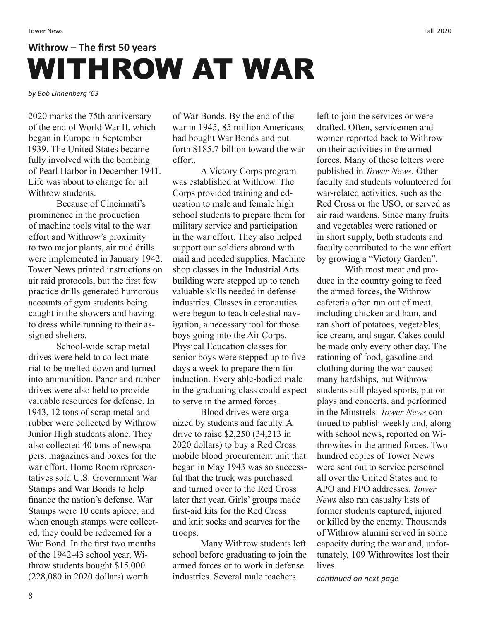# **Withrow – The first 50 years** WITHROW AT WAR

*by Bob Linnenberg '63*

2020 marks the 75th anniversary of the end of World War II, which began in Europe in September 1939. The United States became fully involved with the bombing of Pearl Harbor in December 1941. Life was about to change for all Withrow students.

Because of Cincinnati's prominence in the production of machine tools vital to the war effort and Withrow's proximity to two major plants, air raid drills were implemented in January 1942. Tower News printed instructions on air raid protocols, but the first few practice drills generated humorous accounts of gym students being caught in the showers and having to dress while running to their assigned shelters.

School-wide scrap metal drives were held to collect material to be melted down and turned into ammunition. Paper and rubber drives were also held to provide valuable resources for defense. In 1943, 12 tons of scrap metal and rubber were collected by Withrow Junior High students alone. They also collected 40 tons of newspapers, magazines and boxes for the war effort. Home Room representatives sold U.S. Government War Stamps and War Bonds to help finance the nation's defense. War Stamps were 10 cents apiece, and when enough stamps were collected, they could be redeemed for a War Bond. In the first two months of the 1942-43 school year, Withrow students bought \$15,000 (228,080 in 2020 dollars) worth

of War Bonds. By the end of the war in 1945, 85 million Americans had bought War Bonds and put forth \$185.7 billion toward the war effort.

A Victory Corps program was established at Withrow. The Corps provided training and education to male and female high school students to prepare them for military service and participation in the war effort. They also helped support our soldiers abroad with mail and needed supplies. Machine shop classes in the Industrial Arts building were stepped up to teach valuable skills needed in defense industries. Classes in aeronautics were begun to teach celestial navigation, a necessary tool for those boys going into the Air Corps. Physical Education classes for senior boys were stepped up to five days a week to prepare them for induction. Every able-bodied male in the graduating class could expect to serve in the armed forces.

Blood drives were organized by students and faculty. A drive to raise \$2,250 (34,213 in 2020 dollars) to buy a Red Cross mobile blood procurement unit that began in May 1943 was so successful that the truck was purchased and turned over to the Red Cross later that year. Girls' groups made first-aid kits for the Red Cross and knit socks and scarves for the troops.

Many Withrow students left school before graduating to join the armed forces or to work in defense industries. Several male teachers

left to join the services or were drafted. Often, servicemen and women reported back to Withrow on their activities in the armed forces. Many of these letters were published in *Tower News*. Other faculty and students volunteered for war-related activities, such as the Red Cross or the USO, or served as air raid wardens. Since many fruits and vegetables were rationed or in short supply, both students and faculty contributed to the war effort by growing a "Victory Garden".

With most meat and produce in the country going to feed the armed forces, the Withrow cafeteria often ran out of meat, including chicken and ham, and ran short of potatoes, vegetables, ice cream, and sugar. Cakes could be made only every other day. The rationing of food, gasoline and clothing during the war caused many hardships, but Withrow students still played sports, put on plays and concerts, and performed in the Minstrels. *Tower News* continued to publish weekly and, along with school news, reported on Withrowites in the armed forces. Two hundred copies of Tower News were sent out to service personnel all over the United States and to APO and FPO addresses. *Tower News* also ran casualty lists of former students captured, injured or killed by the enemy. Thousands of Withrow alumni served in some capacity during the war and, unfortunately, 109 Withrowites lost their lives.

*continued on next page*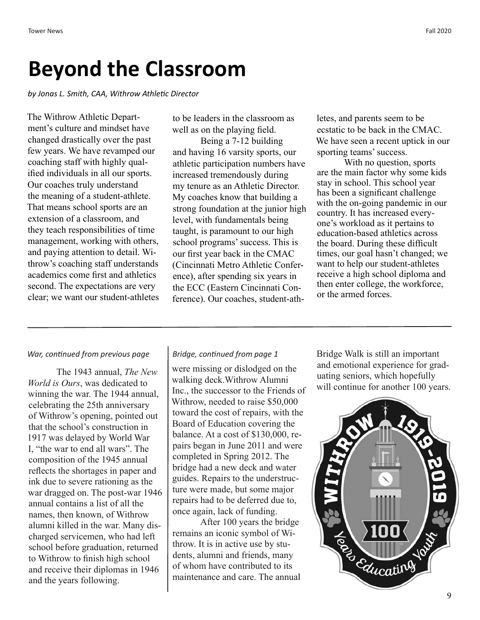## **Beyond the Classroom**

*by Jonas L. Smith, CAA, Withrow Athletic Director*

The Withrow Athletic Department's culture and mindset have changed drastically over the past few years. We have revamped our coaching staff with highly qualified individuals in all our sports. Our coaches truly understand the meaning of a student-athlete. That means school sports are an extension of a classroom, and they teach responsibilities of time management, working with others, and paying attention to detail. Withrow's coaching staff understands academics come first and athletics second. The expectations are very clear; we want our student-athletes

to be leaders in the classroom as well as on the playing field.

Being a 7-12 building and having 16 varsity sports, our athletic participation numbers have increased tremendously during my tenure as an Athletic Director. My coaches know that building a strong foundation at the junior high level, with fundamentals being taught, is paramount to our high school programs' success. This is our first year back in the CMAC (Cincinnati Metro Athletic Conference), after spending six years in the ECC (Eastern Cincinnati Conference). Our coaches, student-athletes, and parents seem to be ecstatic to be back in the CMAC. We have seen a recent uptick in our sporting teams' success.

With no question, sports are the main factor why some kids stay in school. This school year has been a significant challenge with the on-going pandemic in our country. It has increased everyone's workload as it pertains to education-based athletics across the board. During these difficult times, our goal hasn't changed; we want to help our student-athletes receive a high school diploma and then enter college, the workforce, or the armed forces.

#### *War, continued from previous page Bridge, continued from page 1*

The 1943 annual, *The New World is Ours*, was dedicated to winning the war. The 1944 annual, celebrating the 25th anniversary of Withrow's opening, pointed out that the school's construction in 1917 was delayed by World War I, "the war to end all wars". The composition of the 1945 annual reflects the shortages in paper and ink due to severe rationing as the war dragged on. The post-war 1946 annual contains a list of all the names, then known, of Withrow alumni killed in the war. Many discharged servicemen, who had left school before graduation, returned to Withrow to finish high school and receive their diplomas in 1946 and the years following.

were missing or dislodged on the walking deck.Withrow Alumni Inc., the successor to the Friends of Withrow, needed to raise \$50,000 toward the cost of repairs, with the Board of Education covering the balance. At a cost of \$130,000, repairs began in June 2011 and were completed in Spring 2012. The bridge had a new deck and water guides. Repairs to the understructure were made, but some major repairs had to be deferred due to, once again, lack of funding.

After 100 years the bridge remains an iconic symbol of Withrow. It is in active use by students, alumni and friends, many of whom have contributed to its maintenance and care. The annual Bridge Walk is still an important and emotional experience for graduating seniors, which hopefully will continue for another 100 years.

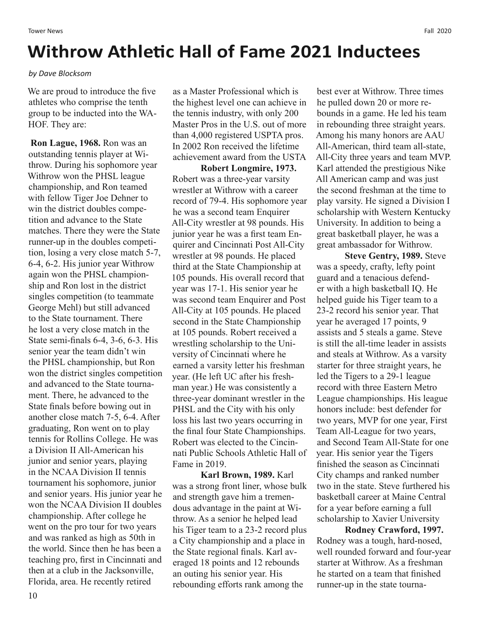### **Withrow Athletic Hall of Fame 2021 Inductees**

#### *by Dave Blocksom*

We are proud to introduce the five athletes who comprise the tenth group to be inducted into the WA-HOF. They are:

 **Ron Lague, 1968.** Ron was an outstanding tennis player at Withrow. During his sophomore year Withrow won the PHSL league championship, and Ron teamed with fellow Tiger Joe Dehner to win the district doubles competition and advance to the State matches. There they were the State runner-up in the doubles competition, losing a very close match 5-7, 6-4, 6-2. His junior year Withrow again won the PHSL championship and Ron lost in the district singles competition (to teammate George Mehl) but still advanced to the State tournament. There he lost a very close match in the State semi-finals 6-4, 3-6, 6-3. His senior year the team didn't win the PHSL championship, but Ron won the district singles competition and advanced to the State tournament. There, he advanced to the State finals before bowing out in another close match 7-5, 6-4. After graduating, Ron went on to play tennis for Rollins College. He was a Division II All-American his junior and senior years, playing in the NCAA Division II tennis tournament his sophomore, junior and senior years. His junior year he won the NCAA Division II doubles championship. After college he went on the pro tour for two years and was ranked as high as 50th in the world. Since then he has been a teaching pro, first in Cincinnati and then at a club in the Jacksonville, Florida, area. He recently retired

as a Master Professional which is the highest level one can achieve in the tennis industry, with only 200 Master Pros in the U.S. out of more than 4,000 registered USPTA pros. In 2002 Ron received the lifetime achievement award from the USTA

**Robert Longmire, 1973.**  Robert was a three-year varsity wrestler at Withrow with a career record of 79-4. His sophomore year he was a second team Enquirer All-City wrestler at 98 pounds. His junior year he was a first team Enquirer and Cincinnati Post All-City wrestler at 98 pounds. He placed third at the State Championship at 105 pounds. His overall record that year was 17-1. His senior year he was second team Enquirer and Post All-City at 105 pounds. He placed second in the State Championship at 105 pounds. Robert received a wrestling scholarship to the University of Cincinnati where he earned a varsity letter his freshman year. (He left UC after his freshman year.) He was consistently a three-year dominant wrestler in the PHSL and the City with his only loss his last two years occurring in the final four State Championships. Robert was elected to the Cincinnati Public Schools Athletic Hall of Fame in 2019.

**Karl Brown, 1989.** Karl was a strong front liner, whose bulk and strength gave him a tremendous advantage in the paint at Withrow. As a senior he helped lead his Tiger team to a 23-2 record plus a City championship and a place in the State regional finals. Karl averaged 18 points and 12 rebounds an outing his senior year. His rebounding efforts rank among the

best ever at Withrow. Three times he pulled down 20 or more rebounds in a game. He led his team in rebounding three straight years. Among his many honors are AAU All-American, third team all-state, All-City three years and team MVP. Karl attended the prestigious Nike All American camp and was just the second freshman at the time to play varsity. He signed a Division I scholarship with Western Kentucky University. In addition to being a great basketball player, he was a great ambassador for Withrow.

**Steve Gentry, 1989.** Steve was a speedy, crafty, lefty point guard and a tenacious defender with a high basketball IQ. He helped guide his Tiger team to a 23-2 record his senior year. That year he averaged 17 points, 9 assists and 5 steals a game. Steve is still the all-time leader in assists and steals at Withrow. As a varsity starter for three straight years, he led the Tigers to a 29-1 league record with three Eastern Metro League championships. His league honors include: best defender for two years, MVP for one year, First Team All-League for two years, and Second Team All-State for one year. His senior year the Tigers finished the season as Cincinnati City champs and ranked number two in the state. Steve furthered his basketball career at Maine Central for a year before earning a full scholarship to Xavier University

**Rodney Crawford, 1997.**  Rodney was a tough, hard-nosed, well rounded forward and four-year starter at Withrow. As a freshman he started on a team that finished runner-up in the state tourna-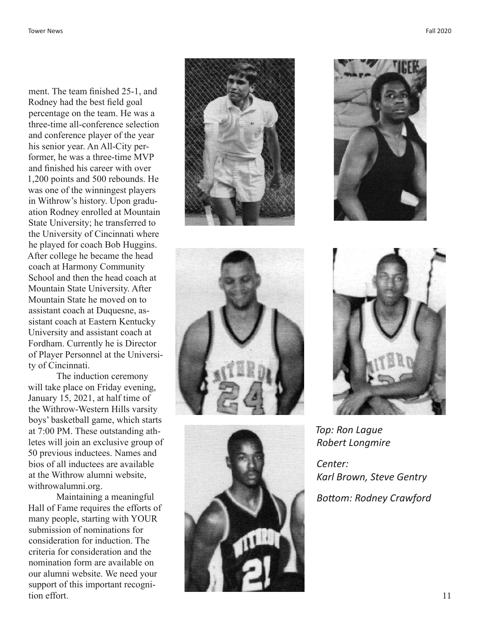ment. The team finished 25-1, and Rodney had the best field goal percentage on the team. He was a three-time all-conference selection and conference player of the year his senior year. An All-City per former, he was a three-time MVP and finished his career with over 1,200 points and 500 rebounds. He was one of the winningest players in Withrow's history. Upon gradu ation Rodney enrolled at Mountain State University; he transferred to the University of Cincinnati where he played for coach Bob Huggins. After college he became the head coach at Harmony Community School and then the head coach at Mountain State University. After Mountain State he moved on to assistant coach at Duquesne, as sistant coach at Eastern Kentucky University and assistant coach at Fordham. Currently he is Director of Player Personnel at the Universi ty of Cincinnati.

The induction ceremony will take place on Friday evening, January 15, 2021, at half time of the Withrow-Western Hills varsity boys' basketball game, which starts at 7:00 PM. These outstanding ath letes will join an exclusive group of 50 previous inductees. Names and bios of all inductees are available at the Withrow alumni website, withrowalumni.org.

Maintaining a meaningful Hall of Fame requires the efforts of many people, starting with YOUR submission of nominations for consideration for induction. The criteria for consideration and the nomination form are available on our alumni website. We need your support of this important recogni tion effort.











*Top: Ron Lague Robert Longmire*

*Center: Karl Brown, Steve Gentry Bottom: Rodney Crawford*